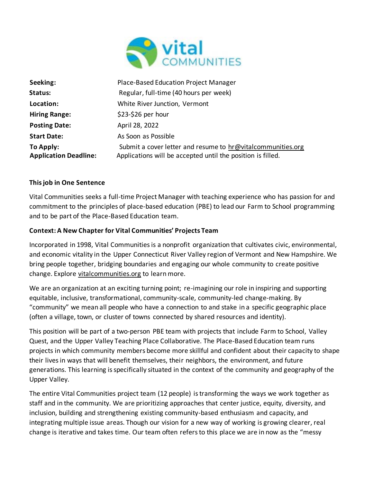

| Seeking:                     | Place-Based Education Project Manager                       |
|------------------------------|-------------------------------------------------------------|
| Status:                      | Regular, full-time (40 hours per week)                      |
| Location:                    | White River Junction, Vermont                               |
| <b>Hiring Range:</b>         | $$23-$26$ per hour                                          |
| <b>Posting Date:</b>         | April 28, 2022                                              |
| <b>Start Date:</b>           | As Soon as Possible                                         |
| To Apply:                    | Submit a cover letter and resume to hr@vitalcommunities.org |
| <b>Application Deadline:</b> | Applications will be accepted until the position is filled. |

## **This job in One Sentence**

Vital Communities seeks a full-time Project Manager with teaching experience who has passion for and commitment to the principles of place-based education (PBE) to lead our Farm to School programming and to be part of the Place-Based Education team.

## **Context: A New Chapter for Vital Communities' Projects Team**

Incorporated in 1998, Vital Communities is a nonprofit organization that cultivates civic, environmental, and economic vitality in the Upper Connecticut River Valley region of Vermont and New Hampshire. We bring people together, bridging boundaries and engaging our whole community to create positive change. Explore vitalcommunities.org to learn more.

We are an organization at an exciting turning point; re-imagining our role in inspiring and supporting equitable, inclusive, transformational, community-scale, community-led change-making. By "community" we mean all people who have a connection to and stake in a specific geographic place (often a village, town, or cluster of towns connected by shared resources and identity).

This position will be part of a two-person PBE team with projects that include Farm to School, Valley Quest, and the Upper Valley Teaching Place Collaborative. The Place-Based Education team runs projects in which community members become more skillful and confident about their capacity to shape their lives in ways that will benefit themselves, their neighbors, the environment, and future generations. This learning is specifically situated in the context of the community and geography of the Upper Valley.

The entire Vital Communities project team (12 people) is transforming the ways we work together as staff and in the community. We are prioritizing approaches that center justice, equity, diversity, and inclusion, building and strengthening existing community-based enthusiasm and capacity, and integrating multiple issue areas. Though our vision for a new way of working is growing clearer, real change is iterative and takes time. Our team often refers to this place we are in now as the "messy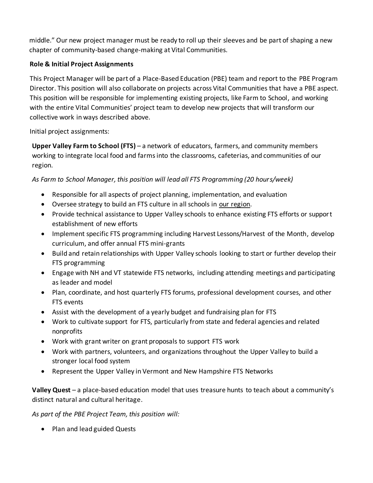middle." Our new project manager must be ready to roll up their sleeves and be part of shaping a new chapter of community-based change-making at Vital Communities.

# **Role & Initial Project Assignments**

This Project Manager will be part of a Place-Based Education (PBE) team and report to the PBE Program Director. This position will also collaborate on projects across Vital Communities that have a PBE aspect. This position will be responsible for implementing existing projects, like Farm to School, and working with the entire Vital Communities' project team to develop new projects that will transform our collective work in ways described above.

Initial project assignments:

**Upper Valley Farm to School (FTS)** – a network of educators, farmers, and community members working to integrate local food and farms into the classrooms, cafeterias, and communities of our region.

*As Farm to School Manager, this position will lead all FTS Programming (20 hours/week)*

- Responsible for all aspects of project planning, implementation, and evaluation
- Oversee strategy to build an FTS culture in all schools in our region.
- Provide technical assistance to Upper Valley schools to enhance existing FTS efforts or support establishment of new efforts
- Implement specific FTS programming including Harvest Lessons/Harvest of the Month, develop curriculum, and offer annual FTS mini-grants
- Build and retain relationships with Upper Valley schools looking to start or further develop their FTS programming
- Engage with NH and VT statewide FTS networks, including attending meetings and participating as leader and model
- Plan, coordinate, and host quarterly FTS forums, professional development courses, and other FTS events
- Assist with the development of a yearly budget and fundraising plan for FTS
- Work to cultivate support for FTS, particularly from state and federal agencies and related nonprofits
- Work with grant writer on grant proposals to support FTS work
- Work with partners, volunteers, and organizations throughout the Upper Valley to build a stronger local food system
- Represent the Upper Valley in Vermont and New Hampshire FTS Networks

**Valley Quest** – a place-based education model that uses treasure hunts to teach about a community's distinct natural and cultural heritage.

*As part of the PBE Project Team, this position will:*

• Plan and lead guided Quests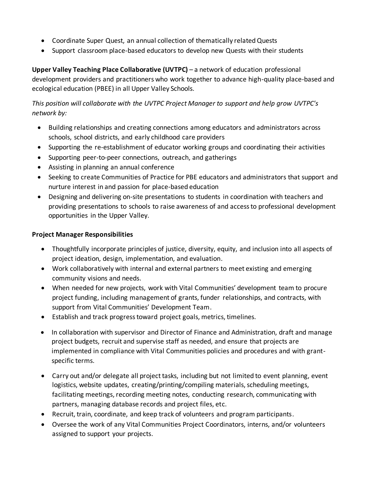- Coordinate Super Quest, an annual collection of thematically related Quests
- Support classroom place-based educators to develop new Quests with their students

**Upper Valley Teaching Place Collaborative (UVTPC)** – a network of education professional development providers and practitioners who work together to advance high-quality place-based and ecological education (PBEE) in all Upper Valley Schools.

*This position will collaborate with the UVTPC Project Manager to support and help grow UVTPC's network by:* 

- Building relationships and creating connections among educators and administrators across schools, school districts, and early childhood care providers
- Supporting the re-establishment of educator working groups and coordinating their activities
- Supporting peer-to-peer connections, outreach, and gatherings
- Assisting in planning an annual conference
- Seeking to create Communities of Practice for PBE educators and administrators that support and nurture interest in and passion for place-based education
- Designing and delivering on-site presentations to students in coordination with teachers and providing presentations to schools to raise awareness of and access to professional development opportunities in the Upper Valley.

## **Project Manager Responsibilities**

- Thoughtfully incorporate principles of justice, diversity, equity, and inclusion into all aspects of project ideation, design, implementation, and evaluation.
- Work collaboratively with internal and external partners to meet existing and emerging community visions and needs.
- When needed for new projects, work with Vital Communities' development team to procure project funding, including management of grants, funder relationships, and contracts, with support from Vital Communities' Development Team.
- Establish and track progress toward project goals, metrics, timelines.
- In collaboration with supervisor and Director of Finance and Administration, draft and manage project budgets, recruit and supervise staff as needed, and ensure that projects are implemented in compliance with Vital Communities policies and procedures and with grantspecific terms.
- Carry out and/or delegate all project tasks, including but not limited to event planning, event logistics, website updates, creating/printing/compiling materials, scheduling meetings, facilitating meetings, recording meeting notes, conducting research, communicating with partners, managing database records and project files, etc.
- Recruit, train, coordinate, and keep track of volunteers and program participants.
- Oversee the work of any Vital Communities Project Coordinators, interns, and/or volunteers assigned to support your projects.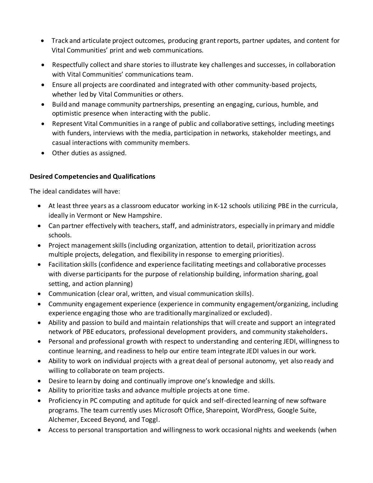- Track and articulate project outcomes, producing grant reports, partner updates, and content for Vital Communities' print and web communications.
- Respectfully collect and share stories to illustrate key challenges and successes, in collaboration with Vital Communities' communications team.
- Ensure all projects are coordinated and integrated with other community-based projects, whether led by Vital Communities or others.
- Build and manage community partnerships, presenting an engaging, curious, humble, and optimistic presence when interacting with the public.
- Represent Vital Communities in a range of public and collaborative settings, including meetings with funders, interviews with the media, participation in networks, stakeholder meetings, and casual interactions with community members.
- Other duties as assigned.

# **Desired Competencies and Qualifications**

The ideal candidates will have:

- At least three years as a classroom educator working in K-12 schools utilizing PBE in the curricula, ideally in Vermont or New Hampshire.
- Can partner effectively with teachers, staff, and administrators, especially in primary and middle schools.
- Project management skills (including organization, attention to detail, prioritization across multiple projects, delegation, and flexibility in response to emerging priorities).
- Facilitation skills (confidence and experience facilitating meetings and collaborative processes with diverse participants for the purpose of relationship building, information sharing, goal setting, and action planning)
- Communication (clear oral, written, and visual communication skills).
- Community engagement experience (experience in community engagement/organizing, including experience engaging those who are traditionally marginalized or excluded).
- Ability and passion to build and maintain relationships that will create and support an integrated network of PBE educators, professional development providers, and community stakeholders**.**
- Personal and professional growth with respect to understanding and centering JEDI, willingness to continue learning, and readiness to help our entire team integrate JEDI values in our work.
- Ability to work on individual projects with a great deal of personal autonomy, yet also ready and willing to collaborate on team projects.
- Desire to learn by doing and continually improve one's knowledge and skills.
- Ability to prioritize tasks and advance multiple projects at one time.
- Proficiency in PC computing and aptitude for quick and self-directed learning of new software programs. The team currently uses Microsoft Office, Sharepoint, WordPress, Google Suite, Alchemer, Exceed Beyond, and Toggl.
- Access to personal transportation and willingness to work occasional nights and weekends (when